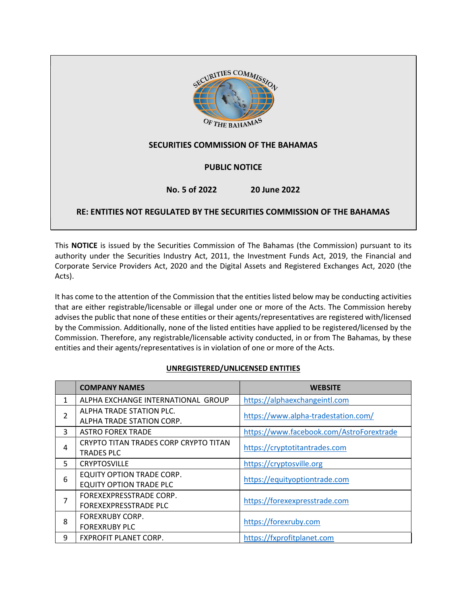

This NOTICE is issued by the Securities Commission of The Bahamas (the Commission) pursuant to its authority under the Securities Industry Act, 2011, the Investment Funds Act, 2019, the Financial and Corporate Service Providers Act, 2020 and the Digital Assets and Registered Exchanges Act, 2020 (the Acts).

It has come to the attention of the Commission that the entities listed below may be conducting activities that are either registrable/licensable or illegal under one or more of the Acts. The Commission hereby advises the public that none of these entities or their agents/representatives are registered with/licensed by the Commission. Additionally, none of the listed entities have applied to be registered/licensed by the Commission. Therefore, any registrable/licensable activity conducted, in or from The Bahamas, by these entities and their agents/representatives is in violation of one or more of the Acts.

## UNREGISTERED/UNLICENSED ENTITIES

|                | <b>COMPANY NAMES</b>                                        | <b>WEBSITE</b>                           |
|----------------|-------------------------------------------------------------|------------------------------------------|
| 1              | ALPHA EXCHANGE INTERNATIONAL GROUP                          | https://alphaexchangeintl.com            |
| $\overline{2}$ | ALPHA TRADE STATION PLC.<br>ALPHA TRADE STATION CORP.       | https://www.alpha-tradestation.com/      |
| 3              | <b>ASTRO FOREX TRADE</b>                                    | https://www.facebook.com/AstroForextrade |
| 4              | CRYPTO TITAN TRADES CORP CRYPTO TITAN<br><b>TRADES PLC</b>  | https://cryptotitantrades.com            |
| 5              | <b>CRYPTOSVILLE</b>                                         | https://cryptosville.org                 |
| 6              | EQUITY OPTION TRADE CORP.<br><b>EQUITY OPTION TRADE PLC</b> | https://equityoptiontrade.com            |
| 7              | FOREXEXPRESSTRADE CORP.<br>FOREXEXPRESSTRADE PLC            | https://forexexpresstrade.com            |
| 8              | <b>FOREXRUBY CORP.</b><br><b>FOREXRUBY PLC</b>              | https://forexruby.com                    |
| 9              | <b>FXPROFIT PLANET CORP.</b>                                | https://fxprofitplanet.com               |